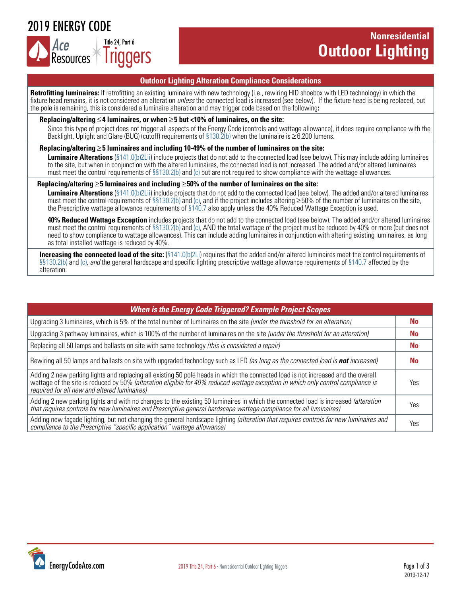2019 ENERGY CODE



## **Nonresidential Outdoor Lighting**

#### **Outdoor Lighting Alteration Compliance Considerations**

**Retrofitting luminaires:** If retrofitting an existing luminaire with new technology (i.e., rewiring HID shoebox with LED technology) in which the fixture head remains, it is not considered an alteration *unless* the connected load is increased (see below). If the fixture head is being replaced, but the pole is remaining, this is considered a luminaire alteration and may trigger code based on the following**:**

#### **Replacing/altering** ≤**4 luminaires, or when** ≥**5 but <10% of luminaires, on the site:**

Since this type of project does not trigger all aspects of the Energy Code (controls and wattage allowance), it does require compliance with the Backlight, Uplight and Glare (BUG) (cutoff) requirements of [§130.2\(b\)](https://energycodeace.com/site/custom/public/reference-ace-2019/Documents/section1302outdoorlightingcontrolsandequipment.htm) when the luminaire is ≥6,200 lumens.

#### **Replacing/altering** ≥**5 luminaires and including 10-49% of the number of luminaires on the site:**

**Luminaire Alterations** [\(§141.0\(b\)2Lii\)](https://energycodeace.com/site/custom/public/reference-ace-2019/Documents/section1410additionsalterationsandrepairstoexistingnonresidentia1.htm#aadditions1.htm) include projects that do not add to the connected load (see below). This may include adding luminaires to the site, but when in conjunction with the altered luminaires, the connected load is not increased. The added and/or altered luminaires must meet the control requirements of  $\S$ §130.2(b) and (c) but are not required to show compliance with the wattage allowances.

#### **Replacing/altering** ≥**5 luminaires and including** ≥**50% of the number of luminaires on the site:**

 **Luminaire Alterations** [\(§141.0\(b\)2Lii\)](https://energycodeace.com/site/custom/public/reference-ace-2019/Documents/section1410additionsalterationsandrepairstoexistingnonresidentia1.htm#aadditions1.htm) include projects that do not add to the connected load (see below). The added and/or altered luminaires must meet the control requirements of [§§130.2\(b\) and \(c\)](https://energycodeace.com/site/custom/public/reference-ace-2019/Documents/section1302outdoorlightingcontrolsandequipment.htm), and if the project includes altering  $\geq$ 50% of the number of luminaires on the site, the Prescriptive wattage allowance requirements of [§140.7](https://energycodeace.com/site/custom/public/reference-ace-2019/Documents/section1407prescriptiverequirementsforoutdoorlighting.htm) also apply unless the 40% Reduced Wattage Exception is used.

 **40% Reduced Wattage Exception** includes projects that do not add to the connected load (see below). The added and/or altered luminaires must meet the control requirements of [§§130.2\(b\) and \(c\)](https://energycodeace.com/site/custom/public/reference-ace-2019/Documents/section1302outdoorlightingcontrolsandequipment.htm), AND the total wattage of the project must be reduced by 40% or more (but does not need to show compliance to wattage allowances). This can include adding luminaires in conjunction with altering existing luminaires, as long as total installed wattage is reduced by 40%.

**Increasing the connected load of the site:** [\(§141.0\(b\)2Li\)](https://energycodeace.com/site/custom/public/reference-ace-2019/Documents/section1410additionsalterationsandrepairstoexistingnonresidentia1.htm#aadditions1.htm) requires that the added and/or altered luminaires meet the control requirements of [§§130.2\(b\) and \(c\)](https://energycodeace.com/site/custom/public/reference-ace-2019/Documents/section1302outdoorlightingcontrolsandequipment.htm), *and* the general hardscape and specific lighting prescriptive wattage allowance requirements of [§140.7](https://energycodeace.com/site/custom/public/reference-ace-2019/Documents/section1407prescriptiverequirementsforoutdoorlighting.htm) affected by the alteration.

| <b>When is the Energy Code Triggered? Example Project Scopes</b>                                                                                                                                                                                                                                                      |           |  |  |  |  |
|-----------------------------------------------------------------------------------------------------------------------------------------------------------------------------------------------------------------------------------------------------------------------------------------------------------------------|-----------|--|--|--|--|
| Upgrading 3 luminaires, which is 5% of the total number of luminaires on the site (under the threshold for an alteration)                                                                                                                                                                                             |           |  |  |  |  |
| Upgrading 3 pathway luminaires, which is 100% of the number of luminaires on the site (under the threshold for an alteration)                                                                                                                                                                                         |           |  |  |  |  |
| Replacing all 50 lamps and ballasts on site with same technology (this is considered a repair)                                                                                                                                                                                                                        | <b>No</b> |  |  |  |  |
| Rewiring all 50 lamps and ballasts on site with upgraded technology such as LED (as long as the connected load is not increased)                                                                                                                                                                                      | No.       |  |  |  |  |
| Adding 2 new parking lights and replacing all existing 50 pole heads in which the connected load is not increased and the overall<br>wattage of the site is reduced by 50% (alteration eligible for 40% reduced wattage exception in which only control compliance is<br>required for all new and altered luminaires) | Yes       |  |  |  |  |
| Adding 2 new parking lights and with no changes to the existing 50 luminaires in which the connected load is increased (alteration<br>that requires controls for new luminaires and Prescriptive general hardscape wattage compliance for all luminaires)                                                             | Yes       |  |  |  |  |
| Adding new façade lighting, but not changing the general hardscape lighting (alteration that requires controls for new luminaires and<br>compliance to the Prescriptive "specific application" wattage allowance)                                                                                                     | Yes       |  |  |  |  |

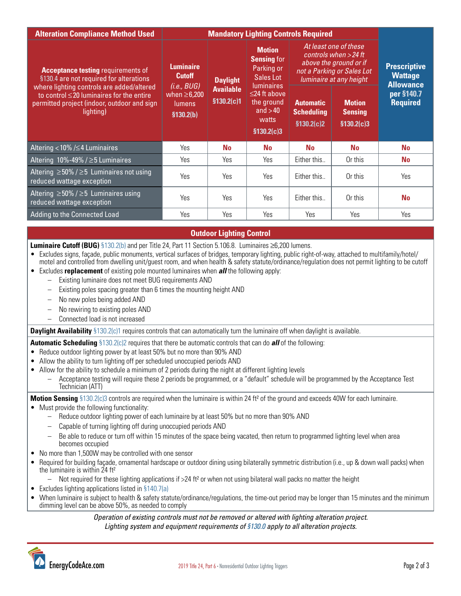| <b>Alteration Compliance Method Used</b>                                                                                                                                                                                                        | <b>Mandatory Lighting Controls Required</b>                                                          |                                                                |                                                                                                                                                              |                                                                                                                                     |                                                |                                                           |
|-------------------------------------------------------------------------------------------------------------------------------------------------------------------------------------------------------------------------------------------------|------------------------------------------------------------------------------------------------------|----------------------------------------------------------------|--------------------------------------------------------------------------------------------------------------------------------------------------------------|-------------------------------------------------------------------------------------------------------------------------------------|------------------------------------------------|-----------------------------------------------------------|
| <b>Acceptance testing requirements of</b><br>§130.4 are not required for alterations<br>where lighting controls are added/altered<br>to control $\leq$ 20 luminaires for the entire<br>permitted project (indoor, outdoor and sign<br>lighting) | <b>Luminaire</b><br><b>Cutoff</b><br>(i.e., BUG)<br>when $\geq 6,200$<br><b>lumens</b><br>\$130.2(b) | <b>Daylight</b><br><b>Available</b><br>$$130.\overline{2(c)}1$ | <b>Motion</b><br><b>Sensing for</b><br>Parking or<br>Sales Lot<br><b>luminaires</b><br>$\leq$ 24 ft above<br>the ground<br>and $>40$<br>watts<br>\$130.2(c)3 | At least one of these<br>controls when $>$ 24 ft<br>above the ground or if<br>not a Parking or Sales Lot<br>luminaire at any height |                                                | <b>Prescriptive</b><br><b>Wattage</b><br><b>Allowance</b> |
|                                                                                                                                                                                                                                                 |                                                                                                      |                                                                |                                                                                                                                                              | <b>Automatic</b><br><b>Scheduling</b><br>\$130.2(c)2                                                                                | <b>Motion</b><br><b>Sensing</b><br>\$130.2(c)3 | per §140.7<br><b>Required</b>                             |
| Altering < 10% /≤4 Luminaires                                                                                                                                                                                                                   | Yes                                                                                                  | <b>No</b>                                                      | <b>No</b>                                                                                                                                                    | No                                                                                                                                  | No                                             | No                                                        |
| Altering $10\% - 49\% / \geq 5$ Luminaires                                                                                                                                                                                                      | Yes                                                                                                  | Yes                                                            | Yes                                                                                                                                                          | Either this                                                                                                                         | Or this                                        | <b>No</b>                                                 |
| Altering $\geq$ 50% / $\geq$ 5 Luminaires not using<br>reduced wattage exception                                                                                                                                                                | Yes                                                                                                  | <b>Yes</b>                                                     | Yes                                                                                                                                                          | Either this                                                                                                                         | Or this                                        | Yes                                                       |
| Altering $\geq$ 50% / $\geq$ 5 Luminaires using<br>reduced wattage exception                                                                                                                                                                    | Yes                                                                                                  | <b>Yes</b>                                                     | <b>Yes</b>                                                                                                                                                   | Either this                                                                                                                         | Or this                                        | <b>No</b>                                                 |
| Adding to the Connected Load                                                                                                                                                                                                                    | Yes                                                                                                  | Yes                                                            | Yes                                                                                                                                                          | Yes                                                                                                                                 | Yes                                            | Yes                                                       |

#### **Outdoor Lighting Control**

**Luminaire Cutoff (BUG)** [§130.2\(b\)](https://energycodeace.com/site/custom/public/reference-ace-2019/Documents/section1302outdoorlightingcontrolsandequipment.htm) and per Title 24, Part 11 Section 5.106.8. Luminaires ≥6,200 lumens.

- Excludes signs, facade, public monuments, vertical surfaces of bridges, temporary lighting, public right-of-way, attached to multifamily/hotel/ motel and controlled from dwelling unit/guest room, and when health & safety statute/ordinance/regulation does not permit lighting to be cutoff
- Excludes **replacement** of existing pole mounted luminaires when *all* the following apply:
	- Existing luminaire does not meet BUG requirements AND
		- Existing poles spacing greater than 6 times the mounting height AND
		- No new poles being added AND
		- No rewiring to existing poles AND
		- Connected load is not increased

**Daylight Availability** [§130.2\(c\)1](https://energycodeace.com/site/custom/public/reference-ace-2019/Documents/section1302outdoorlightingcontrolsandequipment.htm) requires controls that can automatically turn the luminaire off when daylight is available.

**Automatic Scheduling** [§130.2\(c\)2](https://energycodeace.com/site/custom/public/reference-ace-2019/Documents/section1302outdoorlightingcontrolsandequipment.htm) requires that there be automatic controls that can do *all* of the following:

- Reduce outdoor lighting power by at least 50% but no more than 90% AND
- Allow the ability to turn lighting off per scheduled unoccupied periods AND
- Allow for the ability to schedule a minimum of 2 periods during the night at different lighting levels
	- Acceptance testing will require these 2 periods be programmed, or a "default" schedule will be programmed by the Acceptance Test Technician (ATT)

**Motion Sensing** [§130.2\(c\)3](https://energycodeace.com/site/custom/public/reference-ace-2019/Documents/section1302outdoorlightingcontrolsandequipment.htm) controls are required when the luminaire is within 24 ft<sup>2</sup> of the ground and exceeds 40W for each luminaire.

#### • Must provide the following functionality:

- Reduce outdoor lighting power of each luminaire by at least 50% but no more than 90% AND
- Capable of turning lighting off during unoccupied periods AND
- Be able to reduce or turn off within 15 minutes of the space being vacated, then return to programmed lighting level when area becomes occupied
- No more than 1,500W may be controlled with one sensor
- Required for building façade, ornamental hardscape or outdoor dining using bilaterally symmetric distribution (i.e., up & down wall packs) when the luminaire is within 24 ft²
	- $-$  Not required for these lighting applications if  $>24$  ft<sup>2</sup> or when not using bilateral wall packs no matter the height
- Excludes lighting applications listed in [§140.7\(a\)](https://energycodeace.com/site/custom/public/reference-ace-2019/Documents/section1407prescriptiverequirementsforoutdoorlighting.htm)
- When luminaire is subject to health & safety statute/ordinance/regulations, the time-out period may be longer than 15 minutes and the minimum dimming level can be above 50%, as needed to comply

*Operation of existing controls must not be removed or altered with lighting alteration project. Lighting system and equipment requirements of [§130.0](https://energycodeace.com/site/custom/public/reference-ace-2019/Documents/section1300lightingsystemsandequipmentandelectricalpowerdistribu.htm) apply to all alteration projects.*